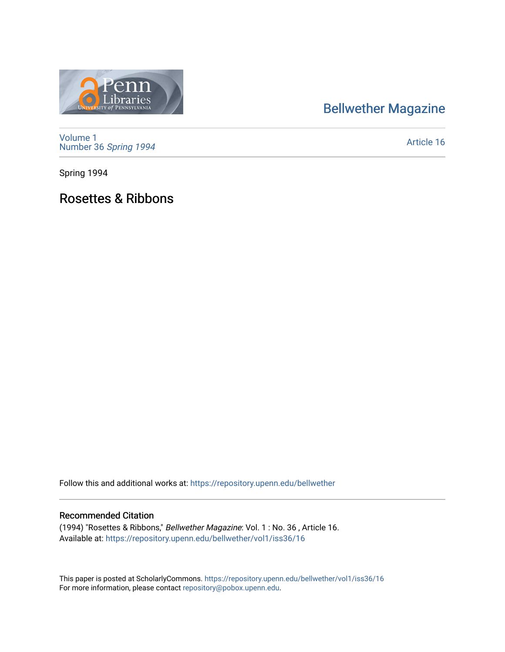## [Bellwether Magazine](https://repository.upenn.edu/bellwether)



praries

[Article 16](https://repository.upenn.edu/bellwether/vol1/iss36/16) 

Spring 1994

Rosettes & Ribbons

Follow this and additional works at: [https://repository.upenn.edu/bellwether](https://repository.upenn.edu/bellwether?utm_source=repository.upenn.edu%2Fbellwether%2Fvol1%2Fiss36%2F16&utm_medium=PDF&utm_campaign=PDFCoverPages) 

#### Recommended Citation

(1994) "Rosettes & Ribbons," Bellwether Magazine: Vol. 1 : No. 36 , Article 16. Available at: [https://repository.upenn.edu/bellwether/vol1/iss36/16](https://repository.upenn.edu/bellwether/vol1/iss36/16?utm_source=repository.upenn.edu%2Fbellwether%2Fvol1%2Fiss36%2F16&utm_medium=PDF&utm_campaign=PDFCoverPages) 

This paper is posted at ScholarlyCommons.<https://repository.upenn.edu/bellwether/vol1/iss36/16> For more information, please contact [repository@pobox.upenn.edu.](mailto:repository@pobox.upenn.edu)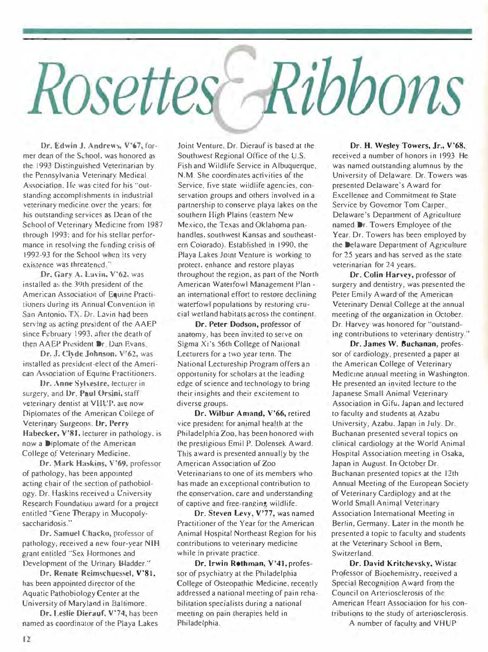# Ribbons Rosettes

Dr. Edwin J. Andrews. V'67, former dean of the School, was honored as the 1993 Distinguished Veterinarian by the Pennsylvania Veterinary Medical Association. He was cited for his "outstanding accomplishments in industrial veterinary medicine over the years; for his outstanding services as !Jean of the School of Veterinary Medicine from 1987 through 1993: and for his stellar performance in resolving the funding crisis of 1992-93 for the School when its very existence was threatened."

Dr. Gary A. Lavin, V'62, was installed as the 39th president of the American Association of Equme Practitioners tluring its Annual Convention in San Antonio. TX. Dr. Lavin had been serving as acting president of the AAEP since February 1993, after the death of then AAEP President Dr. Dan Evans.

Dr. J. Ciyde Johnson, V'62, was installed as president-elect of the American A�sociation of Equine Practitioners.

Dr. Anne Sylvestre, lecturer in surgery, and Dr. Paul Orsini, staff veterinary dentist at VHUT, are now Diplomates of the American College of Veterinary Surgeons. Dr. Perry Habecker, V'81, lecturer in pathology, is now a D1plomate of the American College of Veterinary Medicine.

Dr. Mark Haskins, V'69, professor of pathology. has been appointed acting chair of lhe section of pathobioJogy. Dr. Haskins received a L'niversity Research Foundation award for a project entitled "Gene Therapy in Mucopolysaccharidosis."

Dr. Samuel Chacko, professor of pathology. received a new four-year NIH grant entitled "Sex Hormones and Development of the Urinary Bladder.''

Dr. Renate Reimschuessel, V'81, has been appointed director of the Aquatic Pathobiology Center at the University of Maryland in Baltimore\_

Dr. Leslie Dierauf, V'74, has beeo named as coordinator of the Playa Lakes

Joint Venture. Dr. Dierauf is based at the Southwest Regional Office of the U.S. fish and Wildlife Service in Albuquerque, N.M. She coordinates activities of the Service, five state wildlife agencies, conservation groups and others involved in a partnership to conserve playa lakes on the southern High Plains (eastern New Mexico, the Texas and Oklahoma panhandles. southwest Kansas and southeastem Colorado). Established in 1990, the Playa Lakes Joint Venture is working to protect, enhance and restore playas throughout the region, as part of the North American Waterfowl Management Plan an international effort to restore declining waterfowl populations by restoring crucial wetland habitats across the continent.

Or. Peter Dodson, professor of anatomy, has been invited to serve on Sigma Xi's 56th College of National Lecturers for a two year tenn. The National Lectureship Program offers an opportunity for scholars at the leading edge of science and technology to bring their insights and their excitement to diverse groups.

Dr. Wilbur Amand, V'66, retired vice president for animal health at the Philadelphia Zoo, has been honored with the prestigious Emil P. Dolensek A ward. This award is presented annually by the American Association of Zoo Veterinarians to one of its members who has made an exceptional contribution to the conservation, care and understanding of captive and free-ranging wildlife.

Or. Steven Levy, V'77, was named Practitioner of the Year for the American Animal Hospital Northeast Region for his contributions to veterinary medicine while in private practice.

Or. Irwin Rothman, V'41, professor of psychiatry at the Philadelphia College of Osteopathic Medicine, recently addressed a national meeting of pain rehabilitation specialists during a national meeting on pain therapies held in Philadelphia.

### Or. H. Wesley Towers, Jr., V'68,

recejved a number of honors in 1993. He was named outstanding alumnus by the University of Delaware. Dr. Towers was presented Delaware's Award for Excellence and Commitment to State Service by Governor Tom Carper. Delaware's Department of Agriculture named Dr. Towers Employee of the Year. Dr. Towers has been employed by the Delaware Department of Agriculture for 25 years and has served as the state veterinarian for 24 years.

Or. Colin Harvey, professor of surgery and dentistry, was presented the Peter Emily Award of the American Veterinary Dental College at the annual meeting of the organization in October. Dr. Harvey was honored for "outstanding contributions to veterinary dentistry."

Dr. James W. Buchanan, professor of cardiology, presented a paper at the American College of Veterinary Medicine annual meeting in Washington. He presented an invited lecture to the Japanese Small Animal Veterinary Association in Gifu, Japan and lectured to faculty and students at Azabu University, Azabu, Japan in July. Dr. Buchanan presented several topics on clinical cardiology at the World Animal Hospital Association meeting in Osaka, Japan in August. In October Dr. Buchanan presented topics at the 12.th Annual Meeting of the European Society of Veterinary Cardiology and at the World Small Animal Veterinary Association International Meeting in Berlin, Germany. Later in the month he presented a topic to faculty and students at the Veterinary School in Bern. Switzerland.

Or. David Kritchevsky. Wistar Professor of Biochemistry, received a Special Recognition Award from the Council on Arteriosclerosis of the American Heart Association for his contributions to the study of arteriosclerosis. A number of faculty and VHUP

 $12$